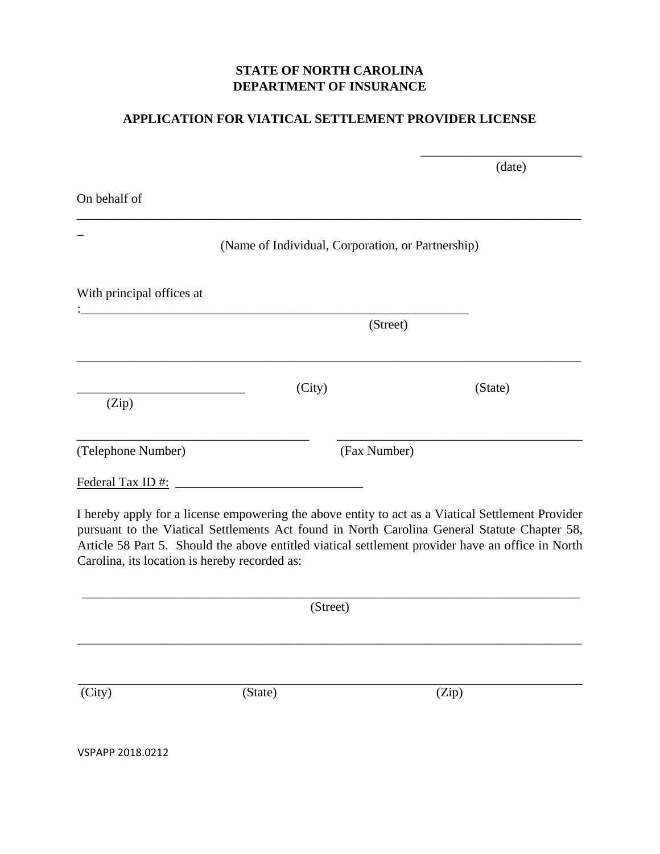## **STATE OF NORTH CAROLINA DEPARTMENT OF INSURANCE**

## **APPLICATION FOR VIATICAL SETTLEMENT PROVIDER LICENSE**

\_\_\_\_\_\_\_\_\_\_\_\_\_\_\_\_\_\_\_\_\_\_\_\_\_

|                           |          |                                                   | (date)  |  |
|---------------------------|----------|---------------------------------------------------|---------|--|
| On behalf of              |          |                                                   |         |  |
|                           |          | (Name of Individual, Corporation, or Partnership) |         |  |
| With principal offices at |          |                                                   |         |  |
|                           | (Street) |                                                   |         |  |
| (Zip)                     | (City)   |                                                   | (State) |  |
| (Telephone Number)        |          | (Fax Number)                                      |         |  |
| Federal Tax ID #:         |          |                                                   |         |  |

I hereby apply for a license empowering the above entity to act as a Viatical Settlement Provider pursuant to the Viatical Settlements Act found in North Carolina General Statute Chapter 58, Article 58 Part 5. Should the above entitled viatical settlement provider have an office in North Carolina, its location is hereby recorded as:

| (Street)         |         |  |       |  |
|------------------|---------|--|-------|--|
|                  |         |  |       |  |
| (City)           | (State) |  | (Zip) |  |
| VSPAPP 2018.0212 |         |  |       |  |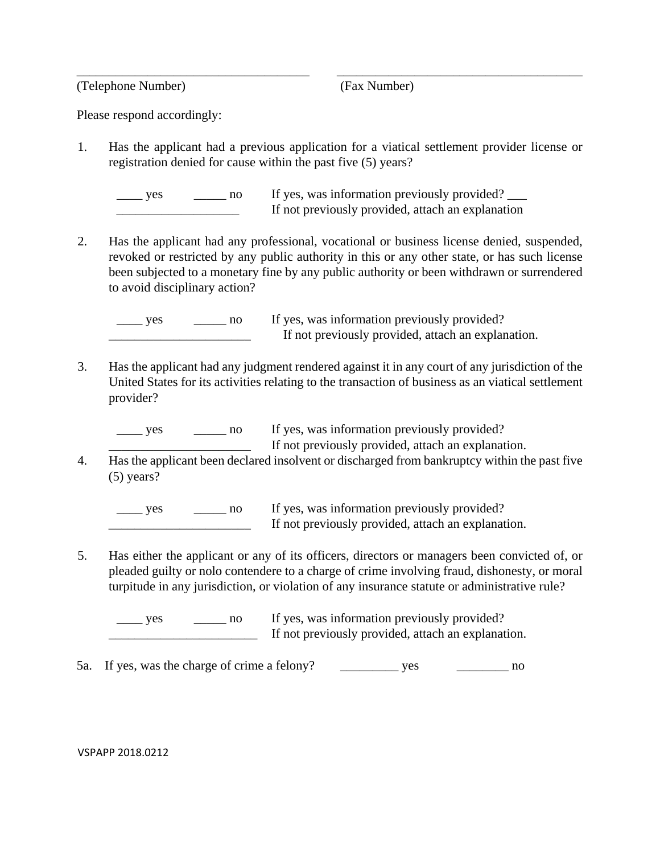(Telephone Number) (Fax Number)

Please respond accordingly:

1. Has the applicant had a previous application for a viatical settlement provider license or registration denied for cause within the past five (5) years?

\_\_\_\_\_\_\_\_\_\_\_\_\_\_\_\_\_\_\_\_\_\_\_\_\_\_\_\_\_\_\_\_\_\_\_\_ \_\_\_\_\_\_\_\_\_\_\_\_\_\_\_\_\_\_\_\_\_\_\_\_\_\_\_\_\_\_\_\_\_\_\_\_\_\_

| ves | If yes, was information previously provided?      |
|-----|---------------------------------------------------|
|     | If not previously provided, attach an explanation |

2. Has the applicant had any professional, vocational or business license denied, suspended, revoked or restricted by any public authority in this or any other state, or has such license been subjected to a monetary fine by any public authority or been withdrawn or surrendered to avoid disciplinary action?

yes \_\_\_\_\_ no If yes, was information previously provided? If not previously provided, attach an explanation.

3. Has the applicant had any judgment rendered against it in any court of any jurisdiction of the United States for its activities relating to the transaction of business as an viatical settlement provider?

yes \_\_\_\_\_ no If yes, was information previously provided? If not previously provided, attach an explanation.

4. Has the applicant been declared insolvent or discharged from bankruptcy within the past five (5) years?

\_\_\_\_\_ yes \_\_\_\_\_\_\_ no If yes, was information previously provided? If not previously provided, attach an explanation.

5. Has either the applicant or any of its officers, directors or managers been convicted of, or pleaded guilty or nolo contendere to a charge of crime involving fraud, dishonesty, or moral turpitude in any jurisdiction, or violation of any insurance statute or administrative rule?

yes \_\_\_\_\_ no If yes, was information previously provided? If not previously provided, attach an explanation.

5a. If yes, was the charge of crime a felony? \_\_\_\_\_\_\_\_\_\_\_\_ yes \_\_\_\_\_\_\_\_\_\_\_\_ no

## VSPAPP 2018.0212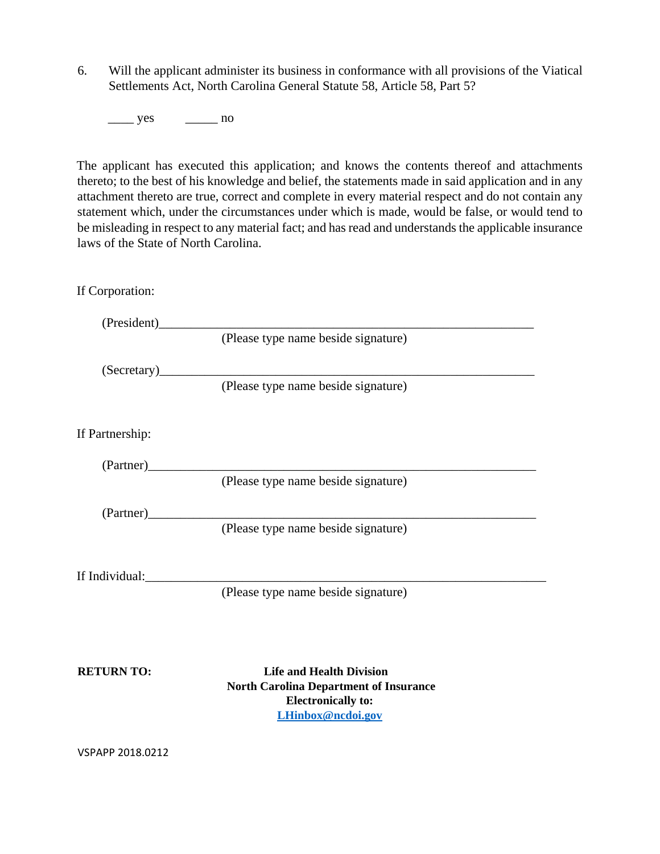6. Will the applicant administer its business in conformance with all provisions of the Viatical Settlements Act, North Carolina General Statute 58, Article 58, Part 5?

 $\frac{\text{yes}}{\text{yes}}$  no

The applicant has executed this application; and knows the contents thereof and attachments thereto; to the best of his knowledge and belief, the statements made in said application and in any attachment thereto are true, correct and complete in every material respect and do not contain any statement which, under the circumstances under which is made, would be false, or would tend to be misleading in respect to any material fact; and has read and understands the applicable insurance laws of the State of North Carolina.

If Corporation:

(President)\_\_\_\_\_\_\_\_\_\_\_\_\_\_\_\_\_\_\_\_\_\_\_\_\_\_\_\_\_\_\_\_\_\_\_\_\_\_\_\_\_\_\_\_\_\_\_\_\_\_\_\_\_\_\_\_\_\_

(Please type name beside signature)

 $(Secretary)$ 

(Please type name beside signature)

If Partnership:

(Partner)\_\_\_\_\_\_\_\_\_\_\_\_\_\_\_\_\_\_\_\_\_\_\_\_\_\_\_\_\_\_\_\_\_\_\_\_\_\_\_\_\_\_\_\_\_\_\_\_\_\_\_\_\_\_\_\_\_\_\_\_

(Please type name beside signature)

(Partner)\_\_\_\_\_\_\_\_\_\_\_\_\_\_\_\_\_\_\_\_\_\_\_\_\_\_\_\_\_\_\_\_\_\_\_\_\_\_\_\_\_\_\_\_\_\_\_\_\_\_\_\_\_\_\_\_\_\_\_\_

(Please type name beside signature)

If Individual:

(Please type name beside signature)

**RETURN TO:** Life and Health Division  **North Carolina Department of Insurance Electronically to: LHinbox@ncdoi.gov**

VSPAPP 2018.0212